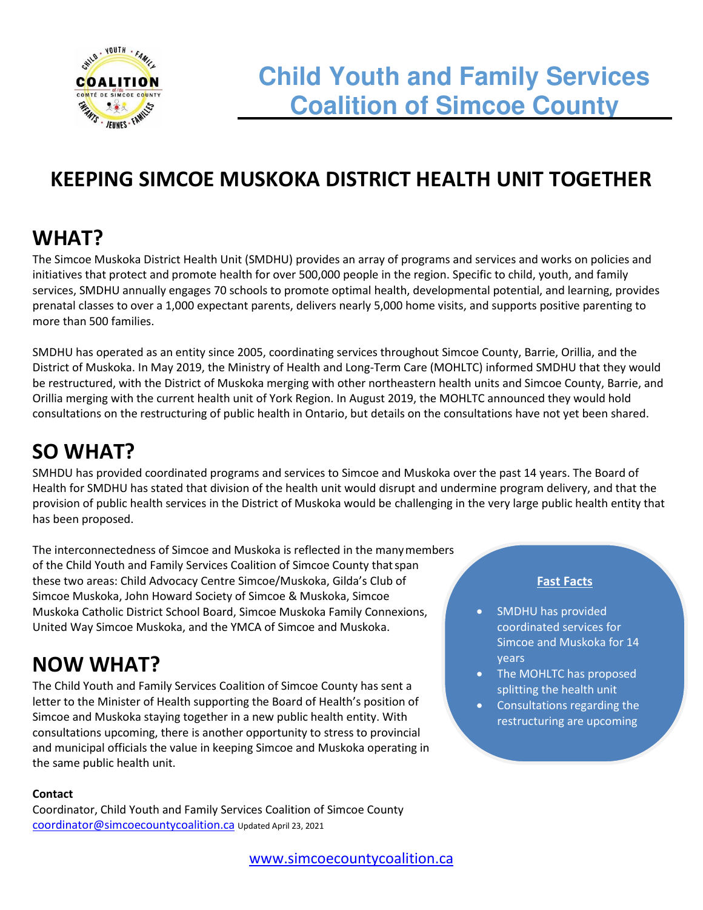

# **KEEPING SIMCOE MUSKOKA DISTRICT HEALTH UNIT TOGETHER**

## **WHAT?**

The Simcoe Muskoka District Health Unit (SMDHU) provides an array of programs and services and works on policies and initiatives that protect and promote health for over 500,000 people in the region. Specific to child, youth, and family services, SMDHU annually engages 70 schools to promote optimal health, developmental potential, and learning, provides prenatal classes to over a 1,000 expectant parents, delivers nearly 5,000 home visits, and supports positive parenting to more than 500 families.

SMDHU has operated as an entity since 2005, coordinating services throughout Simcoe County, Barrie, Orillia, and the District of Muskoka. In May 2019, the Ministry of Health and Long-Term Care (MOHLTC) informed SMDHU that they would be restructured, with the District of Muskoka merging with other northeastern health units and Simcoe County, Barrie, and Orillia merging with the current health unit of York Region. In August 2019, the MOHLTC announced they would hold consultations on the restructuring of public health in Ontario, but details on the consultations have not yet been shared.

# **SO WHAT?**

SMHDU has provided coordinated programs and services to Simcoe and Muskoka over the past 14 years. The Board of Health for SMDHU has stated that division of the health unit would disrupt and undermine program delivery, and that the provision of public health services in the District of Muskoka would be challenging in the very large public health entity that has been proposed.

The interconnectedness of Simcoe and Muskoka is reflected in the many members of the Child Youth and Family Services Coalition of Simcoe County that span these two areas: Child Advocacy Centre Simcoe/Muskoka, Gilda's Club of Simcoe Muskoka, John Howard Society of Simcoe & Muskoka, Simcoe Muskoka Catholic District School Board, Simcoe Muskoka Family Connexions, United Way Simcoe Muskoka, and the YMCA of Simcoe and Muskoka.

## **NOW WHAT?**

The Child Youth and Family Services Coalition of Simcoe County has sent a letter to the Minister of Health supporting the Board of Health's position of Simcoe and Muskoka staying together in a new public health entity. With consultations upcoming, there is another opportunity to stress to provincial and municipal officials the value in keeping Simcoe and Muskoka operating in the same public health unit.

#### **Contact**

Coordinator, Child Youth and Family Services Coalition of Simcoe County [coordinator@simcoecountycoalition.ca](mailto:coordinator@simcoecountycoalition.ca) Updated April 23, 2021

#### **Fast Facts**

- SMDHU has provided coordinated services for Simcoe and Muskoka for 14 years
- The MOHLTC has proposed splitting the health unit
- Consultations regarding the restructuring are upcoming